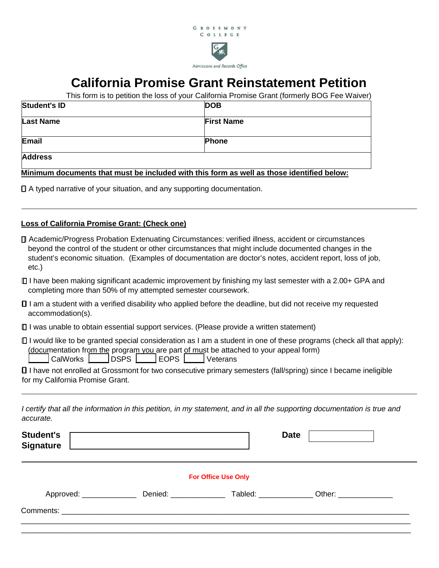

## **California Promise Grant Reinstatement Petition**

This form is to petition the loss of your California Promise Grant (formerly BOG Fee Waiver)

| Student's ID     | <b>DOB</b>        |
|------------------|-------------------|
| <b>Last Name</b> | <b>First Name</b> |
| Email            | <b>Phone</b>      |
| <b>Address</b>   |                   |

**Minimum documents that must be included with this form as well as those identified below:** 

A typed narrative of your situation, and any supporting documentation.

## **Loss of California Promise Grant: (Check one)**

- Academic/Progress Probation Extenuating Circumstances: verified illness, accident or circumstances beyond the control of the student or other circumstances that might include documented changes in the student's economic situation. (Examples of documentation are doctor's notes, accident report, loss of job, etc.)
- I have been making significant academic improvement by finishing my last semester with a 2.00+ GPA and completing more than 50% of my attempted semester coursework.
- I am a student with a verified disability who applied before the deadline, but did not receive my requested accommodation(s).
- $\Box$  I was unable to obtain essential support services. (Please provide a written statement)
- $\Box$  I would like to be granted special consideration as I am a student in one of these programs (check all that apply): (documentation from the program you are part of must be attached to your appeal form)

| CalWorks | | DSPS | | EOPS | | Veterans

 I have not enrolled at Grossmont for two consecutive primary semesters (fall/spring) since I became ineligible for my California Promise Grant.

| I certify that all the information in this petition, in my statement, and in all the supporting documentation is true and |  |  |  |
|---------------------------------------------------------------------------------------------------------------------------|--|--|--|
| accurate.                                                                                                                 |  |  |  |

| <b>Student's</b><br><b>Signature</b> | <u> 1989 - Johann Stoff, deutscher Stoff, der Stoff, der Stoff, der Stoff, der Stoff, der Stoff, der Stoff, der S</u> |                            | <b>Date</b>    |
|--------------------------------------|-----------------------------------------------------------------------------------------------------------------------|----------------------------|----------------|
|                                      |                                                                                                                       | <b>For Office Use Only</b> |                |
| Approved: _______________            | Denied: _______________                                                                                               |                            | Tabled: Other: |
|                                      |                                                                                                                       |                            |                |
|                                      |                                                                                                                       |                            |                |